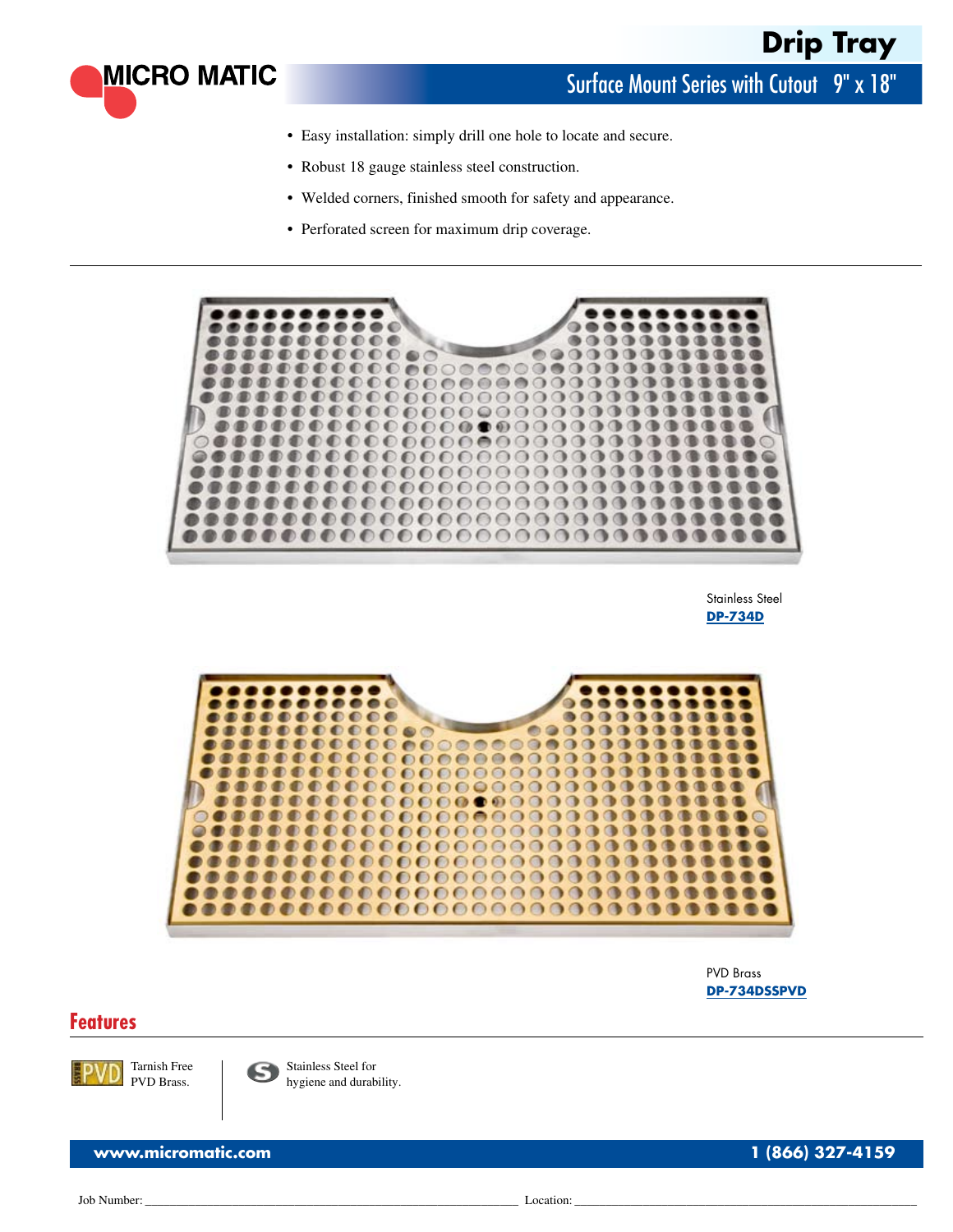

Surface Mount Series with Cutout 9" x 18"

- **•** Easy installation: simply drill one hole to locate and secure.
- **•** Robust 18 gauge stainless steel construction.
- **•** Welded corners, finished smooth for safety and appearance.
- **•** Perforated screen for maximum drip coverage.



Stainless Steel **[DP-734D](http://www.micromatic.com/product.aspx?pid=DP-734D)**



PVD Brass **[DP-734DSSPVD](http://www.micromatic.com/product.aspx?pid=DP-734DSSPVD)**

## **Features**